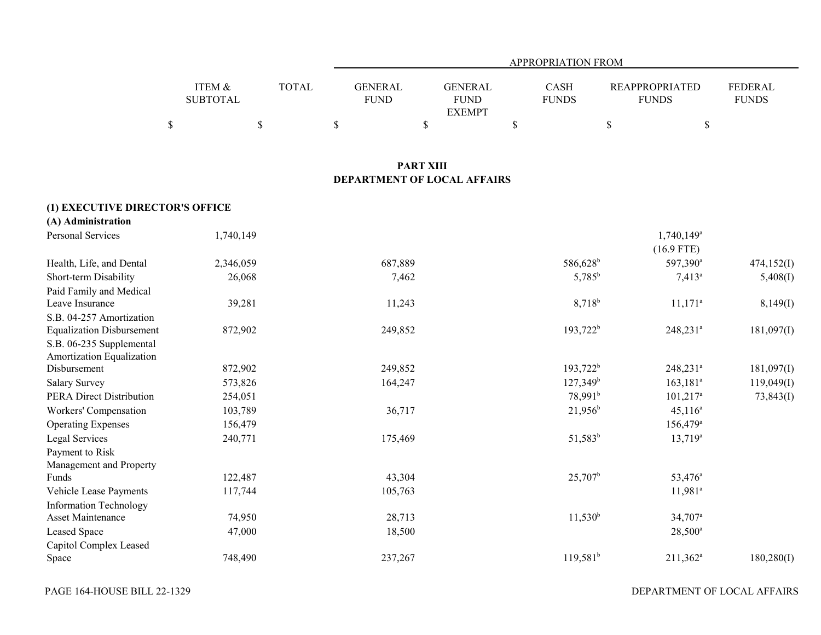|                 |              |             |                | APPROPRIATION FROM |                       |                |
|-----------------|--------------|-------------|----------------|--------------------|-----------------------|----------------|
|                 |              |             |                |                    |                       |                |
| ITEM &          | <b>TOTAL</b> | GENERAL     | <b>GENERAL</b> | <b>CASH</b>        | <b>REAPPROPRIATED</b> | <b>FEDERAL</b> |
| <b>SUBTOTAL</b> |              | <b>FUND</b> | <b>FUND</b>    | <b>FUNDS</b>       | <b>FUNDS</b>          | <b>FUNDS</b>   |
|                 |              |             | <b>EXEMPT</b>  |                    |                       |                |
|                 |              |             |                |                    |                       |                |

### **PART XIII DEPARTMENT OF LOCAL AFFAIRS**

### **(1) EXECUTIVE DIRECTOR'S OFFICE**

| (A) Administration               |           |         |                      |                         |            |
|----------------------------------|-----------|---------|----------------------|-------------------------|------------|
| Personal Services                | 1,740,149 |         |                      | 1,740,149 <sup>a</sup>  |            |
|                                  |           |         |                      | $(16.9$ FTE)            |            |
| Health, Life, and Dental         | 2,346,059 | 687,889 | 586,628 <sup>b</sup> | 597,390 <sup>a</sup>    | 474,152(I) |
| Short-term Disability            | 26,068    | 7,462   | $5,785^{\rm b}$      | $7,413^a$               | 5,408(I)   |
| Paid Family and Medical          |           |         |                      |                         |            |
| Leave Insurance                  | 39,281    | 11,243  | $8,718^{b}$          | $11,171$ <sup>a</sup>   | 8,149(I)   |
| S.B. 04-257 Amortization         |           |         |                      |                         |            |
| <b>Equalization Disbursement</b> | 872,902   | 249,852 | $193,722^b$          | 248,231 <sup>ª</sup>    | 181,097(I) |
| S.B. 06-235 Supplemental         |           |         |                      |                         |            |
| Amortization Equalization        |           |         |                      |                         |            |
| Disbursement                     | 872,902   | 249,852 | $193,722^b$          | 248,231 <sup>a</sup>    | 181,097(I) |
| Salary Survey                    | 573,826   | 164,247 | $127,349^b$          | $163, 181$ <sup>a</sup> | 119,049(I) |
| PERA Direct Distribution         | 254,051   |         | 78,991 <sup>b</sup>  | $101,217$ <sup>a</sup>  | 73,843(I)  |
| Workers' Compensation            | 103,789   | 36,717  | $21,956^b$           | $45,116^a$              |            |
| <b>Operating Expenses</b>        | 156,479   |         |                      | $156,479$ <sup>a</sup>  |            |
| Legal Services                   | 240,771   | 175,469 | $51,583^b$           | $13,719^a$              |            |
| Payment to Risk                  |           |         |                      |                         |            |
| Management and Property          |           |         |                      |                         |            |
| Funds                            | 122,487   | 43,304  | $25,707^{\rm b}$     | 53,476 <sup>a</sup>     |            |
| Vehicle Lease Payments           | 117,744   | 105,763 |                      | $11,981$ <sup>a</sup>   |            |
| <b>Information Technology</b>    |           |         |                      |                         |            |
| <b>Asset Maintenance</b>         | 74,950    | 28,713  | $11,530^b$           | $34,707$ <sup>a</sup>   |            |
| Leased Space                     | 47,000    | 18,500  |                      | $28,500^{\circ}$        |            |
| Capitol Complex Leased           |           |         |                      |                         |            |
| Space                            | 748,490   | 237,267 | $119,581^b$          | $211,362^a$             | 180,280(I) |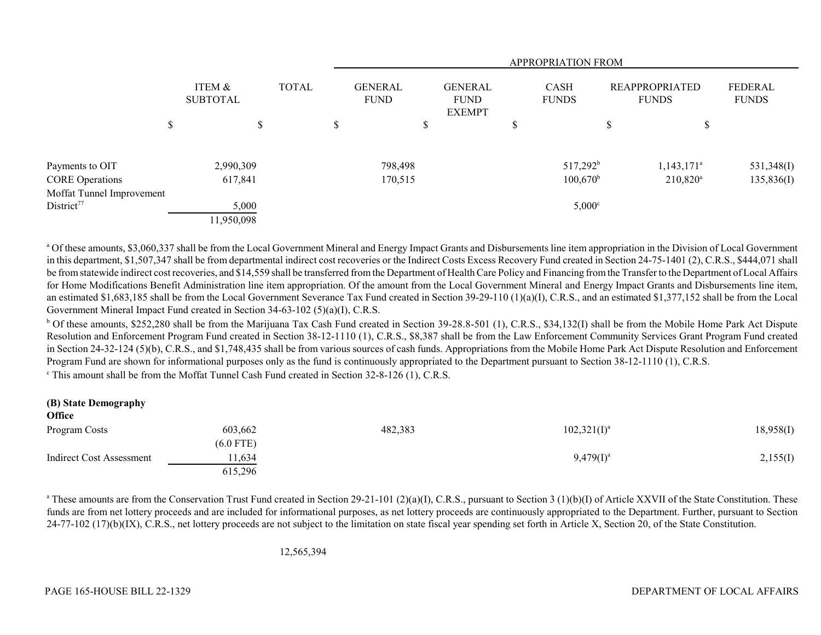|                           |                           |              |                               |         |                                                |   | APPROPRIATION FROM   |                                       |                          |                         |
|---------------------------|---------------------------|--------------|-------------------------------|---------|------------------------------------------------|---|----------------------|---------------------------------------|--------------------------|-------------------------|
|                           | ITEM &<br><b>SUBTOTAL</b> | <b>TOTAL</b> | <b>GENERAL</b><br><b>FUND</b> |         | <b>GENERAL</b><br><b>FUND</b><br><b>EXEMPT</b> |   | CASH<br><b>FUNDS</b> | <b>REAPPROPRIATED</b><br><b>FUNDS</b> |                          | FEDERAL<br><b>FUNDS</b> |
|                           | \$                        | \$           | \$                            |         | \$                                             | Φ |                      | J                                     | ¢<br>D                   |                         |
| Payments to OIT           | 2,990,309                 |              |                               | 798,498 |                                                |   | $517,292^b$          |                                       | $1,143,171$ <sup>a</sup> | 531,348(I)              |
| <b>CORE Operations</b>    | 617,841                   |              |                               | 170,515 |                                                |   | $100,670^{\rm b}$    |                                       | $210,820^{\rm a}$        | 135,836(I)              |
| Moffat Tunnel Improvement |                           |              |                               |         |                                                |   |                      |                                       |                          |                         |
| District <sup>77</sup>    | 5,000                     |              |                               |         |                                                |   | $5,000^{\circ}$      |                                       |                          |                         |
|                           | 11,950,098                |              |                               |         |                                                |   |                      |                                       |                          |                         |

<sup>a</sup> Of these amounts, \$3,060,337 shall be from the Local Government Mineral and Energy Impact Grants and Disbursements line item appropriation in the Division of Local Government in this department, \$1,507,347 shall be from departmental indirect cost recoveries or the Indirect Costs Excess Recovery Fund created in Section 24-75-1401 (2), C.R.S., \$444,071 shall be from statewide indirect cost recoveries, and \$14,559 shall be transferred from the Department of Health Care Policy and Financing from the Transfer to the Department of Local Affairs for Home Modifications Benefit Administration line item appropriation. Of the amount from the Local Government Mineral and Energy Impact Grants and Disbursements line item, an estimated \$1,683,185 shall be from the Local Government Severance Tax Fund created in Section 39-29-110 (1)(a)(I), C.R.S., and an estimated \$1,377,152 shall be from the Local Government Mineral Impact Fund created in Section 34-63-102 (5)(a)(I), C.R.S.

<sup>b</sup> Of these amounts, \$252,280 shall be from the Marijuana Tax Cash Fund created in Section 39-28.8-501 (1), C.R.S., \$34,132(I) shall be from the Mobile Home Park Act Dispute Resolution and Enforcement Program Fund created in Section 38-12-1110 (1), C.R.S., \$8,387 shall be from the Law Enforcement Community Services Grant Program Fund created in Section 24-32-124 (5)(b), C.R.S., and \$1,748,435 shall be from various sources of cash funds. Appropriations from the Mobile Home Park Act Dispute Resolution and Enforcement Program Fund are shown for informational purposes only as the fund is continuously appropriated to the Department pursuant to Section 38-12-1110 (1), C.R.S.

c This amount shall be from the Moffat Tunnel Cash Fund created in Section 32-8-126 (1), C.R.S.

| (B) State Demography<br><b>Office</b> |             |         |                |           |
|---------------------------------------|-------------|---------|----------------|-----------|
| Program Costs                         | 603,662     | 482,383 | $102,321(I)^a$ | 18,958(I) |
|                                       | $(6.0$ FTE) |         |                |           |
| Indirect Cost Assessment              | 11,634      |         | $9,479(I)^a$   | 2,155(I)  |
|                                       | 615,296     |         |                |           |

<sup>a</sup> These amounts are from the Conservation Trust Fund created in Section 29-21-101 (2)(a)(I), C.R.S., pursuant to Section 3 (1)(b)(I) of Article XXVII of the State Constitution. These funds are from net lottery proceeds and are included for informational purposes, as net lottery proceeds are continuously appropriated to the Department. Further, pursuant to Section 24-77-102 (17)(b)(IX), C.R.S., net lottery proceeds are not subject to the limitation on state fiscal year spending set forth in Article X, Section 20, of the State Constitution.

12,565,394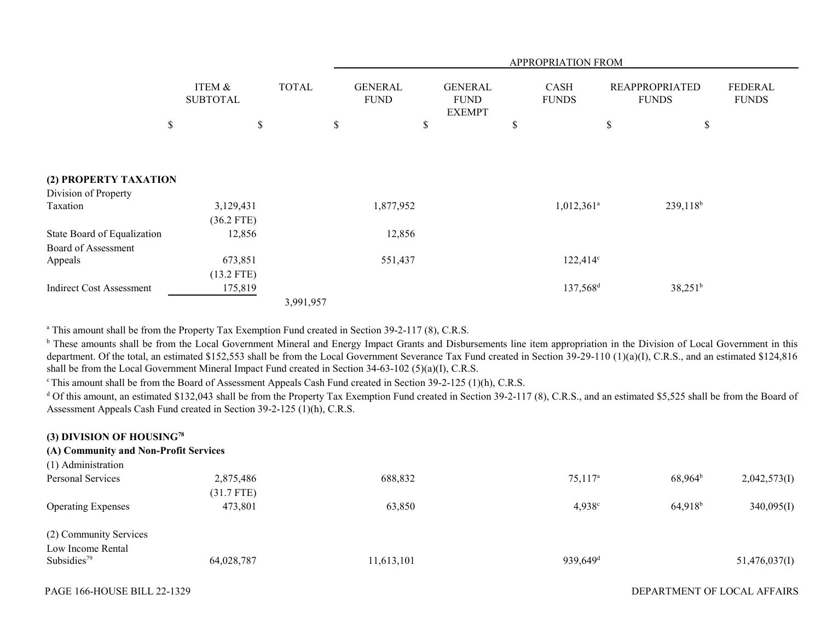|                                 |                           |              |                               |                                                | APPROPRIATION FROM   |                                       |                                |
|---------------------------------|---------------------------|--------------|-------------------------------|------------------------------------------------|----------------------|---------------------------------------|--------------------------------|
|                                 | ITEM &<br><b>SUBTOTAL</b> | <b>TOTAL</b> | <b>GENERAL</b><br><b>FUND</b> | <b>GENERAL</b><br><b>FUND</b><br><b>EXEMPT</b> | CASH<br><b>FUNDS</b> | <b>REAPPROPRIATED</b><br><b>FUNDS</b> | <b>FEDERAL</b><br><b>FUNDS</b> |
| \$                              |                           | \$           | \$                            | $\$$                                           | S                    | \$                                    | \$                             |
|                                 |                           |              |                               |                                                |                      |                                       |                                |
| (2) PROPERTY TAXATION           |                           |              |                               |                                                |                      |                                       |                                |
| Division of Property            |                           |              |                               |                                                |                      |                                       |                                |
| Taxation                        | 3,129,431                 |              | 1,877,952                     |                                                | $1,012,361^{\circ}$  |                                       | $239,118^b$                    |
|                                 | $(36.2$ FTE)              |              |                               |                                                |                      |                                       |                                |
| State Board of Equalization     | 12,856                    |              | 12,856                        |                                                |                      |                                       |                                |
| Board of Assessment             |                           |              |                               |                                                |                      |                                       |                                |
| Appeals                         | 673,851                   |              | 551,437                       |                                                | $122,414^{\circ}$    |                                       |                                |
|                                 | $(13.2$ FTE)              |              |                               |                                                |                      |                                       |                                |
| <b>Indirect Cost Assessment</b> | 175,819                   |              |                               |                                                | 137,568 <sup>d</sup> |                                       | $38,251^b$                     |
|                                 |                           | 3,991,957    |                               |                                                |                      |                                       |                                |

<sup>a</sup> This amount shall be from the Property Tax Exemption Fund created in Section 39-2-117 (8), C.R.S.

<sup>b</sup> These amounts shall be from the Local Government Mineral and Energy Impact Grants and Disbursements line item appropriation in the Division of Local Government in this department. Of the total, an estimated \$152,553 shall be from the Local Government Severance Tax Fund created in Section 39-29-110 (1)(a)(I), C.R.S., and an estimated \$124,816 shall be from the Local Government Mineral Impact Fund created in Section 34-63-102 (5)(a)(I), C.R.S.

<sup>c</sup> This amount shall be from the Board of Assessment Appeals Cash Fund created in Section 39-2-125 (1)(h), C.R.S.

<sup>d</sup> Of this amount, an estimated \$132,043 shall be from the Property Tax Exemption Fund created in Section 39-2-117 (8), C.R.S., and an estimated \$5,525 shall be from the Board of Assessment Appeals Cash Fund created in Section 39-2-125 (1)(h), C.R.S.

| (3) DIVISION OF HOUSING $78$<br>(A) Community and Non-Profit Services<br>(1) Administration |            |            |                      |            |               |
|---------------------------------------------------------------------------------------------|------------|------------|----------------------|------------|---------------|
| Personal Services                                                                           | 2,875,486  | 688,832    | $75,117^{\rm a}$     | $68,964^b$ | 2,042,573(I)  |
|                                                                                             | (31.7 FTE) |            |                      |            |               |
| <b>Operating Expenses</b>                                                                   | 473,801    | 63,850     | $4,938^{\circ}$      | $64,918^b$ | 340,095(I)    |
| (2) Community Services                                                                      |            |            |                      |            |               |
| Low Income Rental                                                                           |            |            |                      |            |               |
| Subsidies <sup>79</sup>                                                                     | 64,028,787 | 11,613,101 | 939,649 <sup>d</sup> |            | 51,476,037(I) |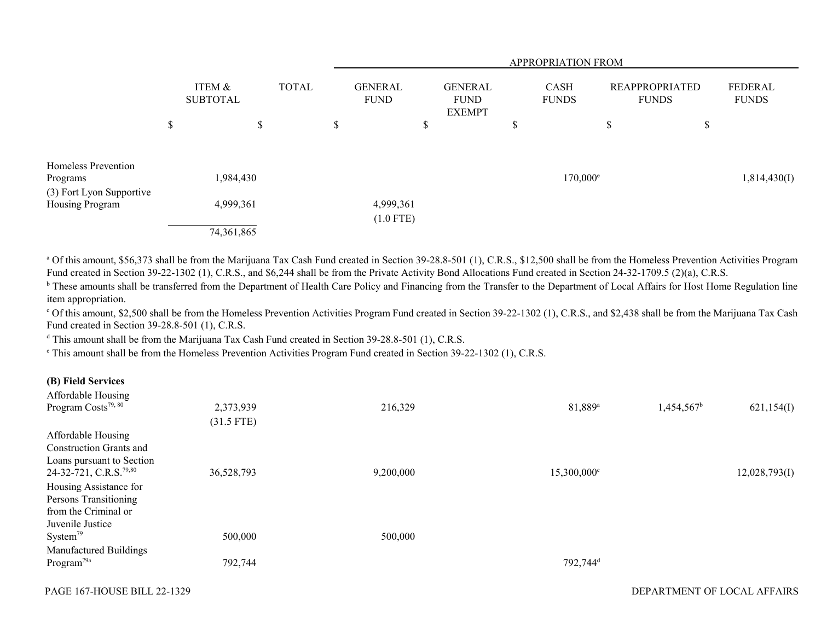|                                 |                           |              |  |                               |        |                                                | APPROPRIATION FROM          |                                       |          |                                |
|---------------------------------|---------------------------|--------------|--|-------------------------------|--------|------------------------------------------------|-----------------------------|---------------------------------------|----------|--------------------------------|
|                                 | ITEM &<br><b>SUBTOTAL</b> | <b>TOTAL</b> |  | <b>GENERAL</b><br><b>FUND</b> |        | <b>GENERAL</b><br><b>FUND</b><br><b>EXEMPT</b> | <b>CASH</b><br><b>FUNDS</b> | <b>REAPPROPRIATED</b><br><b>FUNDS</b> |          | <b>FEDERAL</b><br><b>FUNDS</b> |
|                                 | \$                        | $\mathbb{S}$ |  | \$                            | Φ<br>D |                                                | \$                          | $\triangle$<br>P                      | ــه<br>P |                                |
| Homeless Prevention<br>Programs | 1,984,430                 |              |  |                               |        |                                                | $170,000^{\circ}$           |                                       |          | 1,814,430(I)                   |
| (3) Fort Lyon Supportive        |                           |              |  |                               |        |                                                |                             |                                       |          |                                |
| Housing Program                 | 4,999,361                 |              |  | 4,999,361<br>$(1.0$ FTE)      |        |                                                |                             |                                       |          |                                |
|                                 | 74,361,865                |              |  |                               |        |                                                |                             |                                       |          |                                |

<sup>a</sup> Of this amount, \$56,373 shall be from the Marijuana Tax Cash Fund created in Section 39-28.8-501 (1), C.R.S., \$12,500 shall be from the Homeless Prevention Activities Program Fund created in Section 39-22-1302 (1), C.R.S., and \$6,244 shall be from the Private Activity Bond Allocations Fund created in Section 24-32-1709.5 (2)(a), C.R.S.

<sup>b</sup> These amounts shall be transferred from the Department of Health Care Policy and Financing from the Transfer to the Department of Local Affairs for Host Home Regulation line item appropriation.

<sup>c</sup> Of this amount, \$2,500 shall be from the Homeless Prevention Activities Program Fund created in Section 39-22-1302 (1), C.R.S., and \$2,438 shall be from the Marijuana Tax Cash Fund created in Section 39-28.8-501 (1), C.R.S.

<sup>d</sup> This amount shall be from the Marijuana Tax Cash Fund created in Section 39-28.8-501 (1), C.R.S.

e This amount shall be from the Homeless Prevention Activities Program Fund created in Section 39-22-1302 (1), C.R.S.

#### **(B) Field Services**

| Affordable Housing                 |              |           |                      |               |               |
|------------------------------------|--------------|-----------|----------------------|---------------|---------------|
| Program Costs <sup>79, 80</sup>    | 2,373,939    | 216,329   | 81,889 <sup>a</sup>  | $1,454,567^b$ | 621,154(I)    |
|                                    | $(31.5$ FTE) |           |                      |               |               |
| Affordable Housing                 |              |           |                      |               |               |
| <b>Construction Grants and</b>     |              |           |                      |               |               |
| Loans pursuant to Section          |              |           |                      |               |               |
| 24-32-721, C.R.S. <sup>79,80</sup> | 36,528,793   | 9,200,000 | 15,300,000°          |               | 12,028,793(I) |
| Housing Assistance for             |              |           |                      |               |               |
| Persons Transitioning              |              |           |                      |               |               |
| from the Criminal or               |              |           |                      |               |               |
| Juvenile Justice                   |              |           |                      |               |               |
| System <sup>79</sup>               | 500,000      | 500,000   |                      |               |               |
| Manufactured Buildings             |              |           |                      |               |               |
| Program <sup>79a</sup>             | 792,744      |           | 792,744 <sup>d</sup> |               |               |
|                                    |              |           |                      |               |               |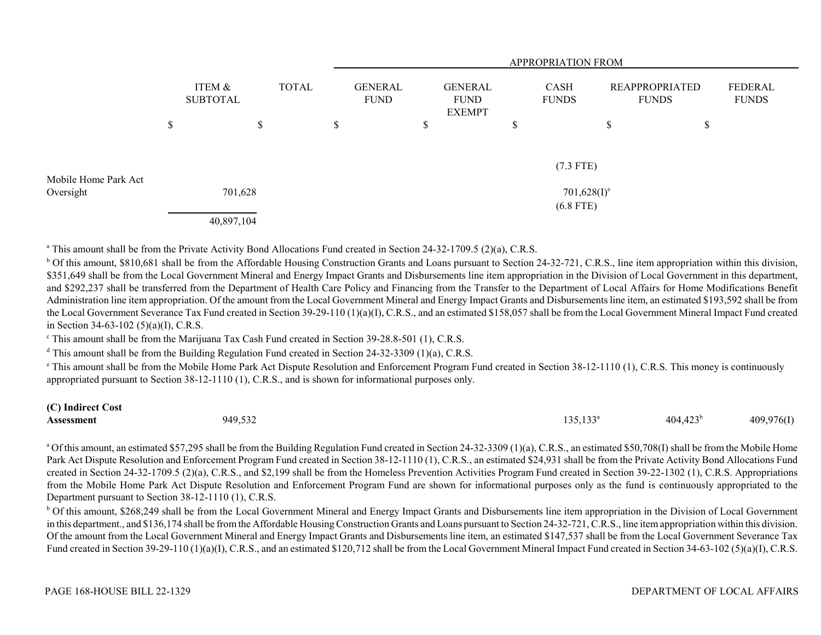|                                   |                    | <b>APPROPRIATION FROM</b> |              |                               |  |   |                                                |   |                               |                                       |    |                         |  |
|-----------------------------------|--------------------|---------------------------|--------------|-------------------------------|--|---|------------------------------------------------|---|-------------------------------|---------------------------------------|----|-------------------------|--|
|                                   | ITEM &<br>SUBTOTAL |                           | <b>TOTAL</b> | <b>GENERAL</b><br><b>FUND</b> |  |   | <b>GENERAL</b><br><b>FUND</b><br><b>EXEMPT</b> |   | CASH<br><b>FUNDS</b>          | <b>REAPPROPRIATED</b><br><b>FUNDS</b> |    | FEDERAL<br><b>FUNDS</b> |  |
|                                   | \$                 |                           | \$           | \$                            |  | D |                                                | P |                               | \$                                    | \$ |                         |  |
|                                   |                    |                           |              |                               |  |   |                                                |   | $(7.3$ FTE)                   |                                       |    |                         |  |
| Mobile Home Park Act<br>Oversight |                    | 701,628                   |              |                               |  |   |                                                |   | $701,628(I)^e$<br>$(6.8$ FTE) |                                       |    |                         |  |
|                                   |                    | 40,897,104                |              |                               |  |   |                                                |   |                               |                                       |    |                         |  |

<sup>a</sup> This amount shall be from the Private Activity Bond Allocations Fund created in Section 24-32-1709.5 (2)(a), C.R.S.

<sup>b</sup> Of this amount, \$810,681 shall be from the Affordable Housing Construction Grants and Loans pursuant to Section 24-32-721, C.R.S., line item appropriation within this division, \$351,649 shall be from the Local Government Mineral and Energy Impact Grants and Disbursements line item appropriation in the Division of Local Government in this department, and \$292,237 shall be transferred from the Department of Health Care Policy and Financing from the Transfer to the Department of Local Affairs for Home Modifications Benefit Administration line item appropriation. Of the amount from the Local Government Mineral and Energy Impact Grants and Disbursements line item, an estimated \$193,592 shall be from the Local Government Severance Tax Fund created in Section 39-29-110 (1)(a)(I), C.R.S., and an estimated \$158,057 shall be from the Local Government Mineral Impact Fund created in Section 34-63-102 (5)(a)(I), C.R.S.

c This amount shall be from the Marijuana Tax Cash Fund created in Section 39-28.8-501 (1), C.R.S.

 $d$  This amount shall be from the Building Regulation Fund created in Section 24-32-3309 (1)(a), C.R.S.

<sup>e</sup> This amount shall be from the Mobile Home Park Act Dispute Resolution and Enforcement Program Fund created in Section 38-12-1110 (1), C.R.S. This money is continuously appropriated pursuant to Section 38-12-1110 (1), C.R.S., and is shown for informational purposes only.

## **(C) Indirect Cost**

| $\sim$ $\sim$ $\sim$<br>949 <sup>5</sup><br><b>Assessment</b><br>7.JJZ | 125122<br>- 1 с<br>. | 472b<br>404.42 | 409,976(1) |
|------------------------------------------------------------------------|----------------------|----------------|------------|
|------------------------------------------------------------------------|----------------------|----------------|------------|

<sup>a</sup> Of this amount, an estimated \$57,295 shall be from the Building Regulation Fund created in Section 24-32-3309 (1)(a), C.R.S., an estimated \$50,708(I) shall be from the Mobile Home Park Act Dispute Resolution and Enforcement Program Fund created in Section 38-12-1110 (1), C.R.S., an estimated \$24,931 shall be from the Private Activity Bond Allocations Fund created in Section 24-32-1709.5 (2)(a), C.R.S., and \$2,199 shall be from the Homeless Prevention Activities Program Fund created in Section 39-22-1302 (1), C.R.S. Appropriations from the Mobile Home Park Act Dispute Resolution and Enforcement Program Fund are shown for informational purposes only as the fund is continuously appropriated to the Department pursuant to Section 38-12-1110 (1), C.R.S.

<sup>b</sup> Of this amount, \$268,249 shall be from the Local Government Mineral and Energy Impact Grants and Disbursements line item appropriation in the Division of Local Government in this department., and \$136,174 shall be from the Affordable Housing Construction Grants and Loans pursuant to Section 24-32-721, C.R.S., line item appropriation within this division. Of the amount from the Local Government Mineral and Energy Impact Grants and Disbursements line item, an estimated \$147,537 shall be from the Local Government Severance Tax Fund created in Section 39-29-110 (1)(a)(I), C.R.S., and an estimated \$120,712 shall be from the Local Government Mineral Impact Fund created in Section 34-63-102 (5)(a)(I), C.R.S.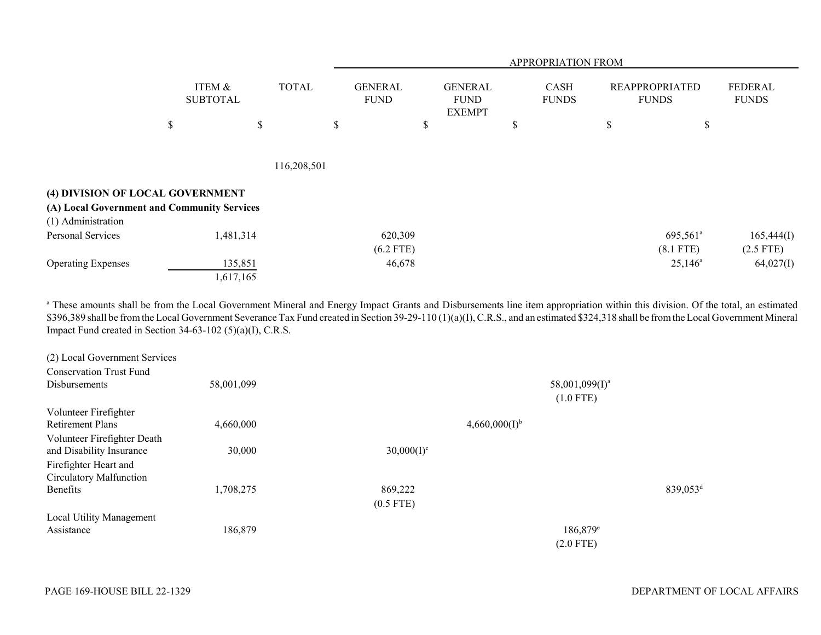|                                             |                           |              |                               |                                                | APPROPRIATION FROM   |                                       |                                |
|---------------------------------------------|---------------------------|--------------|-------------------------------|------------------------------------------------|----------------------|---------------------------------------|--------------------------------|
|                                             | ITEM &<br><b>SUBTOTAL</b> | <b>TOTAL</b> | <b>GENERAL</b><br><b>FUND</b> | <b>GENERAL</b><br><b>FUND</b><br><b>EXEMPT</b> | CASH<br><b>FUNDS</b> | <b>REAPPROPRIATED</b><br><b>FUNDS</b> | <b>FEDERAL</b><br><b>FUNDS</b> |
|                                             | \$                        | \$           | \$                            | $\$$                                           | \$                   | \$<br>\$                              |                                |
|                                             |                           |              |                               |                                                |                      |                                       |                                |
|                                             |                           | 116,208,501  |                               |                                                |                      |                                       |                                |
| (4) DIVISION OF LOCAL GOVERNMENT            |                           |              |                               |                                                |                      |                                       |                                |
| (A) Local Government and Community Services |                           |              |                               |                                                |                      |                                       |                                |
| (1) Administration                          |                           |              |                               |                                                |                      |                                       |                                |
| Personal Services                           | 1,481,314                 |              | 620,309                       |                                                |                      | 695,561 <sup>a</sup>                  | 165,444(I)                     |
|                                             |                           |              | $(6.2$ FTE)                   |                                                |                      | $(8.1$ FTE)                           | $(2.5$ FTE)                    |
| <b>Operating Expenses</b>                   | 135,851                   |              | 46,678                        |                                                |                      | $25,146^{\circ}$                      | 64,027(I)                      |
|                                             | 1,617,165                 |              |                               |                                                |                      |                                       |                                |

<sup>a</sup> These amounts shall be from the Local Government Mineral and Energy Impact Grants and Disbursements line item appropriation within this division. Of the total, an estimated \$396,389 shall be from the Local Government Severance Tax Fund created in Section 39-29-110 (1)(a)(I), C.R.S., and an estimated \$324,318 shall be from the Local Government Mineral Impact Fund created in Section 34-63-102 (5)(a)(I), C.R.S.

| (2) Local Government Services  |            |                    |                            |                      |
|--------------------------------|------------|--------------------|----------------------------|----------------------|
| <b>Conservation Trust Fund</b> |            |                    |                            |                      |
| <b>Disbursements</b>           | 58,001,099 |                    | 58,001,099(I) <sup>a</sup> |                      |
|                                |            |                    | $(1.0$ FTE)                |                      |
| Volunteer Firefighter          |            |                    |                            |                      |
| <b>Retirement Plans</b>        | 4,660,000  | $4,660,000(I)^{b}$ |                            |                      |
| Volunteer Firefighter Death    |            |                    |                            |                      |
| and Disability Insurance       | 30,000     | $30,000(I)^c$      |                            |                      |
| Firefighter Heart and          |            |                    |                            |                      |
| Circulatory Malfunction        |            |                    |                            |                      |
| Benefits                       | 1,708,275  | 869,222            |                            | 839,053 <sup>d</sup> |
|                                |            | $(0.5$ FTE)        |                            |                      |
| Local Utility Management       |            |                    |                            |                      |
| Assistance                     | 186,879    |                    | $186,879$ <sup>e</sup>     |                      |
|                                |            |                    | $(2.0$ FTE)                |                      |
|                                |            |                    |                            |                      |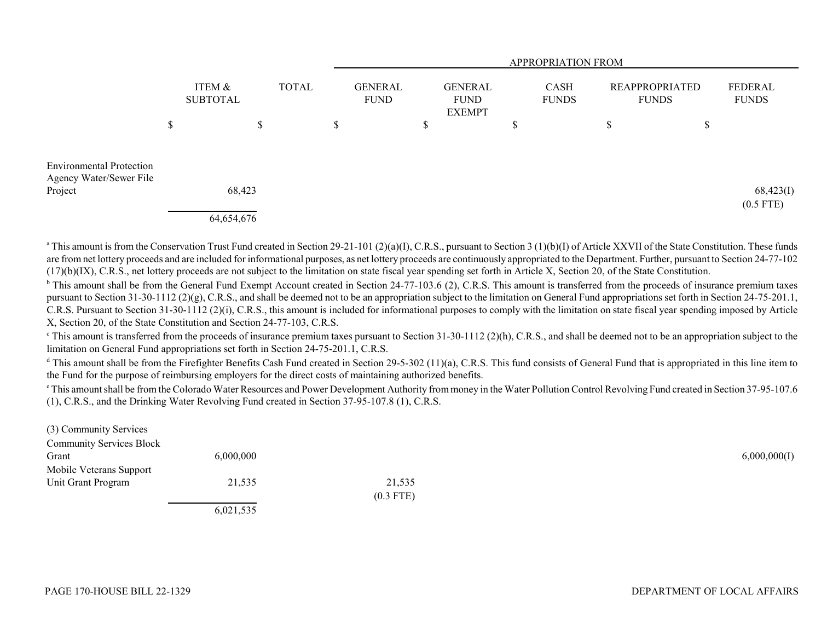|                                                                       |                                           |            |                               |                                                |  |                             |  |                                       | <b>APPROPRIATION FROM</b> |                         |    |             |
|-----------------------------------------------------------------------|-------------------------------------------|------------|-------------------------------|------------------------------------------------|--|-----------------------------|--|---------------------------------------|---------------------------|-------------------------|----|-------------|
|                                                                       | ITEM &<br><b>TOTAL</b><br><b>SUBTOTAL</b> |            | <b>GENERAL</b><br><b>FUND</b> | <b>GENERAL</b><br><b>FUND</b><br><b>EXEMPT</b> |  | <b>CASH</b><br><b>FUNDS</b> |  | <b>REAPPROPRIATED</b><br><b>FUNDS</b> |                           | FEDERAL<br><b>FUNDS</b> |    |             |
|                                                                       | \$                                        |            | \$                            | \$                                             |  | \$                          |  | D                                     |                           | \$                      | \$ |             |
| <b>Environmental Protection</b><br>Agency Water/Sewer File<br>Project |                                           | 68,423     |                               |                                                |  |                             |  |                                       |                           |                         |    | 68,423(I)   |
|                                                                       |                                           | 64,654,676 |                               |                                                |  |                             |  |                                       |                           |                         |    | $(0.5$ FTE) |

<sup>a</sup> This amount is from the Conservation Trust Fund created in Section 29-21-101 (2)(a)(I), C.R.S., pursuant to Section 3 (1)(b)(I) of Article XXVII of the State Constitution. These funds are from net lottery proceeds and are included for informational purposes, as net lottery proceeds are continuously appropriated to the Department. Further, pursuant to Section 24-77-102  $(17)(b)(IX)$ , C.R.S., net lottery proceeds are not subject to the limitation on state fiscal year spending set forth in Article X, Section 20, of the State Constitution.

<sup>b</sup> This amount shall be from the General Fund Exempt Account created in Section 24-77-103.6 (2), C.R.S. This amount is transferred from the proceeds of insurance premium taxes pursuant to Section 31-30-1112 (2)(g), C.R.S., and shall be deemed not to be an appropriation subject to the limitation on General Fund appropriations set forth in Section 24-75-201.1, C.R.S. Pursuant to Section 31-30-1112 (2)(i), C.R.S., this amount is included for informational purposes to comply with the limitation on state fiscal year spending imposed by Article X, Section 20, of the State Constitution and Section 24-77-103, C.R.S.

 $\degree$ This amount is transferred from the proceeds of insurance premium taxes pursuant to Section 31-30-1112 (2)(h), C.R.S., and shall be deemed not to be an appropriation subject to the limitation on General Fund appropriations set forth in Section 24-75-201.1, C.R.S.

<sup>d</sup> This amount shall be from the Firefighter Benefits Cash Fund created in Section 29-5-302 (11)(a), C.R.S. This fund consists of General Fund that is appropriated in this line item to the Fund for the purpose of reimbursing employers for the direct costs of maintaining authorized benefits.

e This amount shall be from the Colorado Water Resources and Power Development Authority from money in the Water Pollution Control Revolving Fund created in Section 37-95-107.6 (1), C.R.S., and the Drinking Water Revolving Fund created in Section 37-95-107.8 (1), C.R.S.

| (3) Community Services          |               |             |              |
|---------------------------------|---------------|-------------|--------------|
| <b>Community Services Block</b> |               |             |              |
| Grant                           | 6,000,000     |             | 6,000,000(I) |
| Mobile Veterans Support         |               |             |              |
| Unit Grant Program              | 21,535        | 21,535      |              |
|                                 |               | $(0.3$ FTE) |              |
|                                 | - - - - - - - |             |              |

6,021,535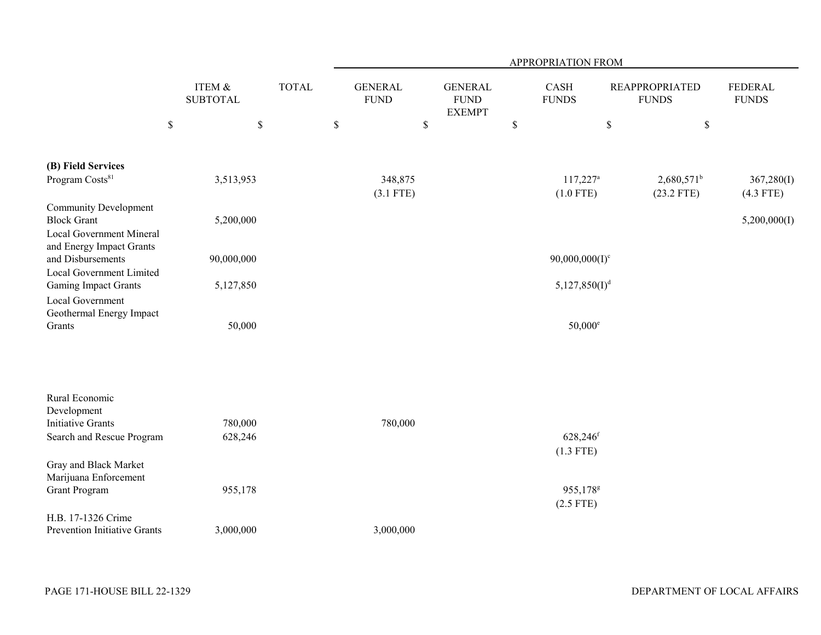|                                                                                |                           |              |                               |                                                |                                       | <b>APPROPRIATION FROM</b>           |                                       |                           |
|--------------------------------------------------------------------------------|---------------------------|--------------|-------------------------------|------------------------------------------------|---------------------------------------|-------------------------------------|---------------------------------------|---------------------------|
|                                                                                | ITEM &<br><b>SUBTOTAL</b> | <b>TOTAL</b> | <b>GENERAL</b><br><b>FUND</b> | <b>GENERAL</b><br><b>FUND</b><br><b>EXEMPT</b> | $\operatorname{CASH}$<br><b>FUNDS</b> |                                     | <b>REAPPROPRIATED</b><br><b>FUNDS</b> | FEDERAL<br><b>FUNDS</b>   |
| $\mathbb S$                                                                    | $\mathbb S$               |              | $\mathbb S$                   | \$                                             | $\$$                                  | $\$$                                | $\$$                                  |                           |
| (B) Field Services                                                             |                           |              |                               |                                                |                                       |                                     |                                       |                           |
| Program Costs <sup>81</sup>                                                    | 3,513,953                 |              | 348,875<br>$(3.1$ FTE)        |                                                |                                       | $117,227^a$<br>$(1.0$ FTE)          | $2,680,571^b$<br>$(23.2$ FTE)         | 367,280(I)<br>$(4.3$ FTE) |
| <b>Community Development</b><br><b>Block Grant</b><br>Local Government Mineral | 5,200,000                 |              |                               |                                                |                                       |                                     |                                       | 5,200,000(I)              |
| and Energy Impact Grants<br>and Disbursements<br>Local Government Limited      | 90,000,000                |              |                               |                                                |                                       | $90,000,000(I)^c$                   |                                       |                           |
| <b>Gaming Impact Grants</b>                                                    | 5,127,850                 |              |                               |                                                |                                       | 5,127,850(I) <sup>d</sup>           |                                       |                           |
| Local Government<br>Geothermal Energy Impact<br>Grants                         | 50,000                    |              |                               |                                                |                                       | $50,000^{\circ}$                    |                                       |                           |
| Rural Economic<br>Development                                                  |                           |              |                               |                                                |                                       |                                     |                                       |                           |
| <b>Initiative Grants</b><br>Search and Rescue Program                          | 780,000<br>628,246        |              | 780,000                       |                                                |                                       | 628,246 <sup>f</sup>                |                                       |                           |
|                                                                                |                           |              |                               |                                                |                                       | $(1.3$ FTE)                         |                                       |                           |
| Gray and Black Market<br>Marijuana Enforcement                                 |                           |              |                               |                                                |                                       |                                     |                                       |                           |
| <b>Grant Program</b>                                                           | 955,178                   |              |                               |                                                |                                       | 955,178 <sup>g</sup><br>$(2.5$ FTE) |                                       |                           |
| H.B. 17-1326 Crime<br>Prevention Initiative Grants                             | 3,000,000                 |              | 3,000,000                     |                                                |                                       |                                     |                                       |                           |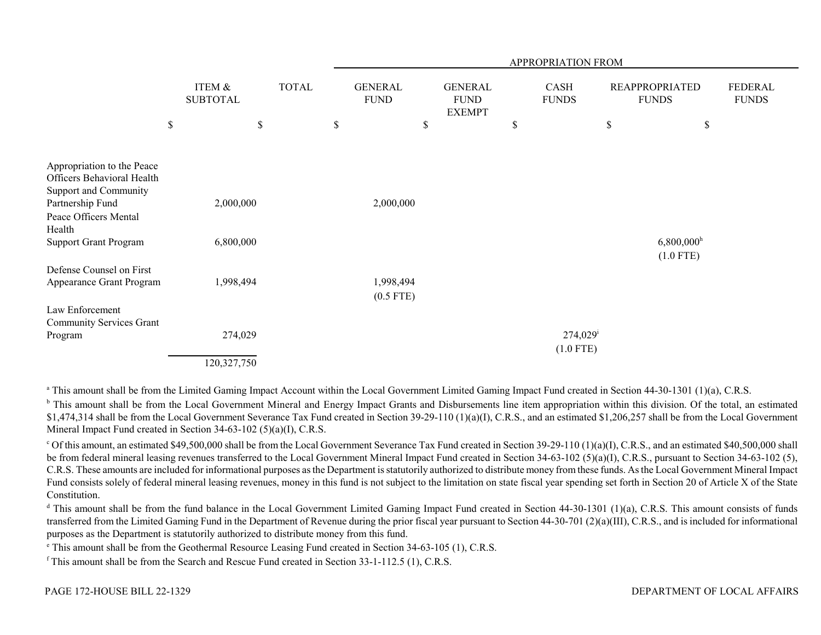|                                                                                                       |                           |              | APPROPRIATION FROM |                               |                                                |    |                                       |    |                                         |                         |
|-------------------------------------------------------------------------------------------------------|---------------------------|--------------|--------------------|-------------------------------|------------------------------------------------|----|---------------------------------------|----|-----------------------------------------|-------------------------|
|                                                                                                       | ITEM &<br><b>SUBTOTAL</b> | <b>TOTAL</b> |                    | <b>GENERAL</b><br><b>FUND</b> | <b>GENERAL</b><br><b>FUND</b><br><b>EXEMPT</b> |    | CASH<br><b>FUNDS</b>                  |    | <b>REAPPROPRIATED</b><br><b>FUNDS</b>   | FEDERAL<br><b>FUNDS</b> |
|                                                                                                       | \$                        | \$           | \$                 | \$                            |                                                | \$ |                                       | \$ | \$                                      |                         |
|                                                                                                       |                           |              |                    |                               |                                                |    |                                       |    |                                         |                         |
| Appropriation to the Peace<br>Officers Behavioral Health<br>Support and Community<br>Partnership Fund | 2,000,000                 |              |                    | 2,000,000                     |                                                |    |                                       |    |                                         |                         |
| Peace Officers Mental<br>Health                                                                       |                           |              |                    |                               |                                                |    |                                       |    |                                         |                         |
| <b>Support Grant Program</b>                                                                          | 6,800,000                 |              |                    |                               |                                                |    |                                       |    | $6,800,000$ <sup>h</sup><br>$(1.0$ FTE) |                         |
| Defense Counsel on First<br>Appearance Grant Program                                                  | 1,998,494                 |              |                    | 1,998,494<br>$(0.5$ FTE)      |                                                |    |                                       |    |                                         |                         |
| Law Enforcement<br>Community Services Grant                                                           |                           |              |                    |                               |                                                |    |                                       |    |                                         |                         |
| Program                                                                                               | 274,029                   |              |                    |                               |                                                |    | $274,029$ <sup>i</sup><br>$(1.0$ FTE) |    |                                         |                         |
|                                                                                                       | 120,327,750               |              |                    |                               |                                                |    |                                       |    |                                         |                         |

<sup>a</sup> This amount shall be from the Limited Gaming Impact Account within the Local Government Limited Gaming Impact Fund created in Section 44-30-1301 (1)(a), C.R.S.

<sup>b</sup> This amount shall be from the Local Government Mineral and Energy Impact Grants and Disbursements line item appropriation within this division. Of the total, an estimated \$1,474,314 shall be from the Local Government Severance Tax Fund created in Section 39-29-110 (1)(a)(I), C.R.S., and an estimated \$1,206,257 shall be from the Local Government Mineral Impact Fund created in Section 34-63-102 (5)(a)(I), C.R.S.

<sup>c</sup> Of this amount, an estimated \$49,500,000 shall be from the Local Government Severance Tax Fund created in Section 39-29-110 (1)(a)(I), C.R.S., and an estimated \$40,500,000 shall be from federal mineral leasing revenues transferred to the Local Government Mineral Impact Fund created in Section 34-63-102 (5)(a)(I), C.R.S., pursuant to Section 34-63-102 (5), C.R.S. These amounts are included for informational purposes as the Department is statutorily authorized to distribute money from these funds. As the Local Government Mineral Impact Fund consists solely of federal mineral leasing revenues, money in this fund is not subject to the limitation on state fiscal year spending set forth in Section 20 of Article X of the State Constitution.

<sup>d</sup> This amount shall be from the fund balance in the Local Government Limited Gaming Impact Fund created in Section 44-30-1301 (1)(a), C.R.S. This amount consists of funds transferred from the Limited Gaming Fund in the Department of Revenue during the prior fiscal year pursuant to Section 44-30-701 (2)(a)(III), C.R.S., and is included for informational purposes as the Department is statutorily authorized to distribute money from this fund.

e This amount shall be from the Geothermal Resource Leasing Fund created in Section 34-63-105 (1), C.R.S.

 $f$ This amount shall be from the Search and Rescue Fund created in Section 33-1-112.5 (1), C.R.S.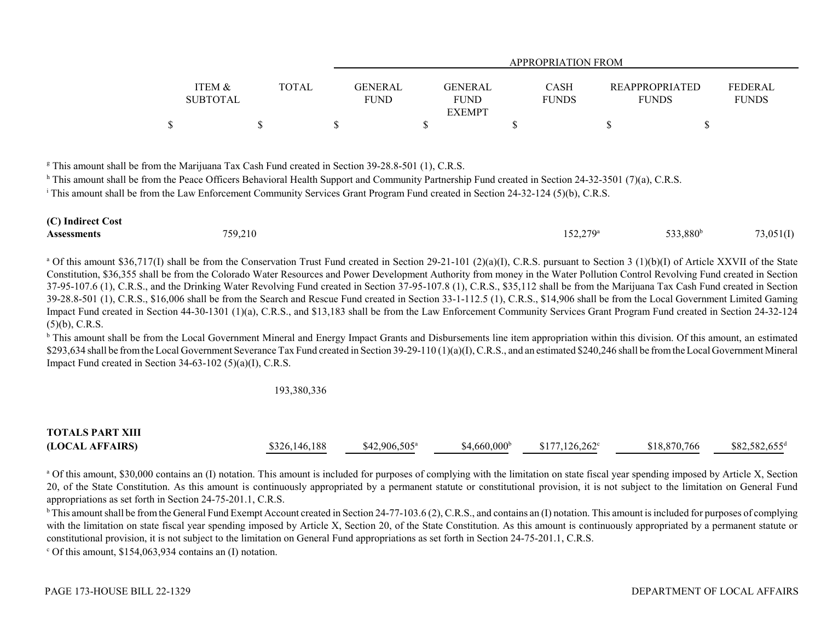|                 |       | APPROPRIATION FROM |                |              |                       |                |  |  |  |  |
|-----------------|-------|--------------------|----------------|--------------|-----------------------|----------------|--|--|--|--|
|                 |       |                    |                |              |                       |                |  |  |  |  |
| ITEM &          | TOTAL | <b>GENERAL</b>     | <b>GENERAL</b> | <b>CASH</b>  | <b>REAPPROPRIATED</b> | <b>FEDERAL</b> |  |  |  |  |
| <b>SUBTOTAL</b> |       | <b>FUND</b>        | <b>FUND</b>    | <b>FUNDS</b> | <b>FUNDS</b>          | <b>FUNDS</b>   |  |  |  |  |
|                 |       |                    | <b>EXEMPT</b>  |              |                       |                |  |  |  |  |
|                 |       |                    |                |              |                       |                |  |  |  |  |

<sup>g</sup> This amount shall be from the Marijuana Tax Cash Fund created in Section 39-28.8-501 (1), C.R.S.

<sup>h</sup> This amount shall be from the Peace Officers Behavioral Health Support and Community Partnership Fund created in Section 24-32-3501 (7)(a), C.R.S.

<sup>i</sup> This amount shall be from the Law Enforcement Community Services Grant Program Fund created in Section 24-32-124 (5)(b), C.R.S.

| (C) Indirect Cost  |         |                   |                      |           |
|--------------------|---------|-------------------|----------------------|-----------|
| <b>Assessments</b> | 759,210 | $152,279^{\circ}$ | 533,880 <sup>b</sup> | 73,051(I) |

<sup>a</sup> Of this amount \$36,717(I) shall be from the Conservation Trust Fund created in Section 29-21-101 (2)(a)(I), C.R.S. pursuant to Section 3 (1)(b)(I) of Article XXVII of the State Constitution, \$36,355 shall be from the Colorado Water Resources and Power Development Authority from money in the Water Pollution Control Revolving Fund created in Section 37-95-107.6 (1), C.R.S., and the Drinking Water Revolving Fund created in Section 37-95-107.8 (1), C.R.S., \$35,112 shall be from the Marijuana Tax Cash Fund created in Section 39-28.8-501 (1), C.R.S., \$16,006 shall be from the Search and Rescue Fund created in Section 33-1-112.5 (1), C.R.S., \$14,906 shall be from the Local Government Limited Gaming Impact Fund created in Section 44-30-1301 (1)(a), C.R.S., and \$13,183 shall be from the Law Enforcement Community Services Grant Program Fund created in Section 24-32-124 (5)(b), C.R.S.

<sup>b</sup> This amount shall be from the Local Government Mineral and Energy Impact Grants and Disbursements line item appropriation within this division. Of this amount, an estimated \$293,634 shall be from the Local Government Severance Tax Fund created in Section 39-29-110 (1)(a)(I), C.R.S., and an estimated \$240,246 shall be from the Local Government Mineral Impact Fund created in Section 34-63-102 (5)(a)(I), C.R.S.

#### 193,380,336

# **TOTALS PART XIII(LOCAL AFFAIRS)** \$326,146,188 \$42,906,505<sup>a</sup> \$4,660,000<sup>b</sup> \$177,126,262<sup>c</sup> \$18,870,766 \$82,582,655<sup>d</sup>

<sup>a</sup> Of this amount, \$30,000 contains an (I) notation. This amount is included for purposes of complying with the limitation on state fiscal year spending imposed by Article X, Section 20, of the State Constitution. As this amount is continuously appropriated by a permanent statute or constitutional provision, it is not subject to the limitation on General Fund appropriations as set forth in Section 24-75-201.1, C.R.S.

 $b$  This amount shall be from the General Fund Exempt Account created in Section 24-77-103.6 (2), C.R.S., and contains an (I) notation. This amount is included for purposes of complying with the limitation on state fiscal year spending imposed by Article X, Section 20, of the State Constitution. As this amount is continuously appropriated by a permanent statute or constitutional provision, it is not subject to the limitation on General Fund appropriations as set forth in Section 24-75-201.1, C.R.S.

 $\degree$  Of this amount, \$154,063,934 contains an (I) notation.